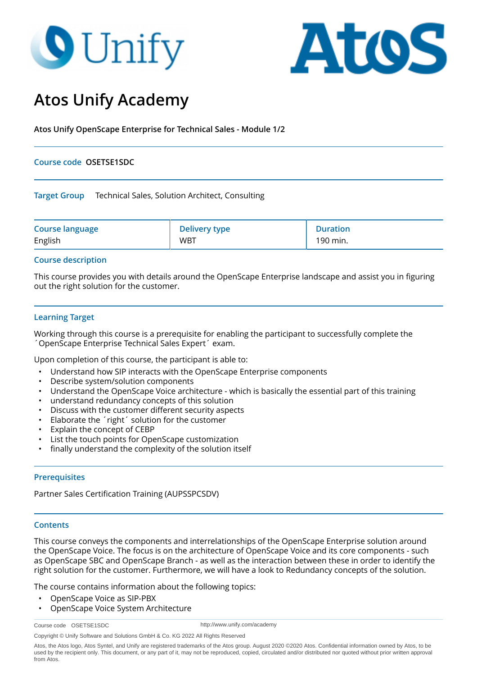# **9** Unify



# **Atos Unify Academy**

**Atos Unify OpenScape Enterprise for Technical Sales - Module 1/2**

# **Course code OSETSE1SDC**

**Target Group** Technical Sales, Solution Architect, Consulting

| <b>Course language</b> | <b>Delivery type</b> | <b>Duration</b> |
|------------------------|----------------------|-----------------|
| English                | <b>WBT</b>           | 190 min.        |

# **Course description**

This course provides you with details around the OpenScape Enterprise landscape and assist you in figuring out the right solution for the customer.

# **Learning Target**

Working through this course is a prerequisite for enabling the participant to successfully complete the ´OpenScape Enterprise Technical Sales Expert´ exam.

Upon completion of this course, the participant is able to:

- Understand how SIP interacts with the OpenScape Enterprise components
- Describe system/solution components
- Understand the OpenScape Voice architecture which is basically the essential part of this training
- understand redundancy concepts of this solution
- Discuss with the customer different security aspects
- Elaborate the 'right' solution for the customer
- Explain the concept of CEBP
- List the touch points for OpenScape customization
- finally understand the complexity of the solution itself

### **Prerequisites**

Partner Sales Certification Training (AUPSSPCSDV)

### **Contents**

This course conveys the components and interrelationships of the OpenScape Enterprise solution around the OpenScape Voice. The focus is on the architecture of OpenScape Voice and its core components - such as OpenScape SBC and OpenScape Branch - as well as the interaction between these in order to identify the right solution for the customer. Furthermore, we will have a look to Redundancy concepts of the solution.

The course contains information about the following topics:

- OpenScape Voice as SIP-PBX
- OpenScape Voice System Architecture

Course code OSETSE1SDC

http://www.unify.com/academy

Copyright © Unify Software and Solutions GmbH & Co. KG 2022 All Rights Reserved

Atos, the Atos logo, Atos Syntel, and Unify are registered trademarks of the Atos group. August 2020 ©2020 Atos. Confidential information owned by Atos, to be used by the recipient only. This document, or any part of it, may not be reproduced, copied, circulated and/or distributed nor quoted without prior written approval from Atos.